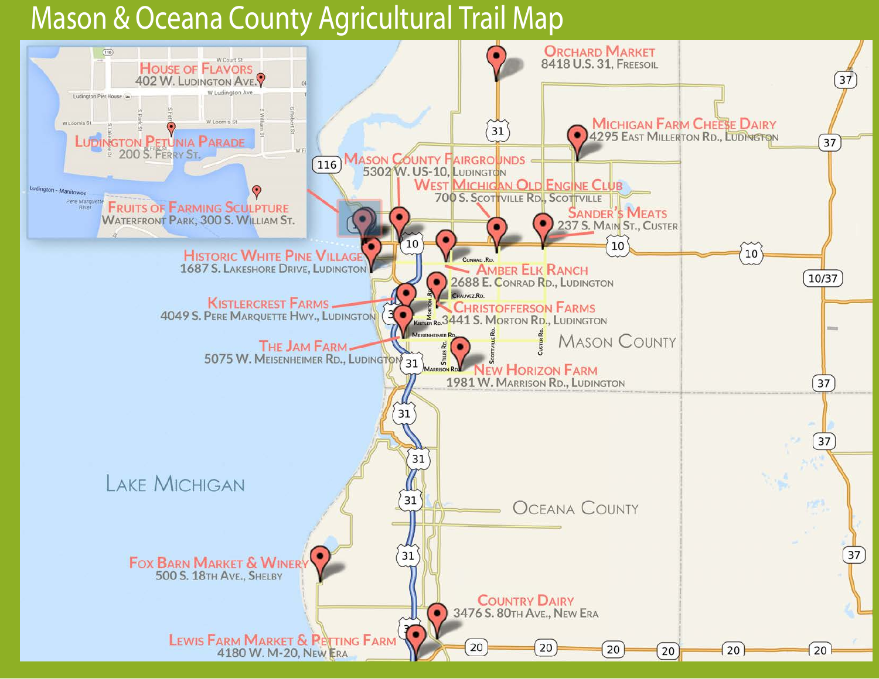# Mason & Oceana County Agricultural Trail Map

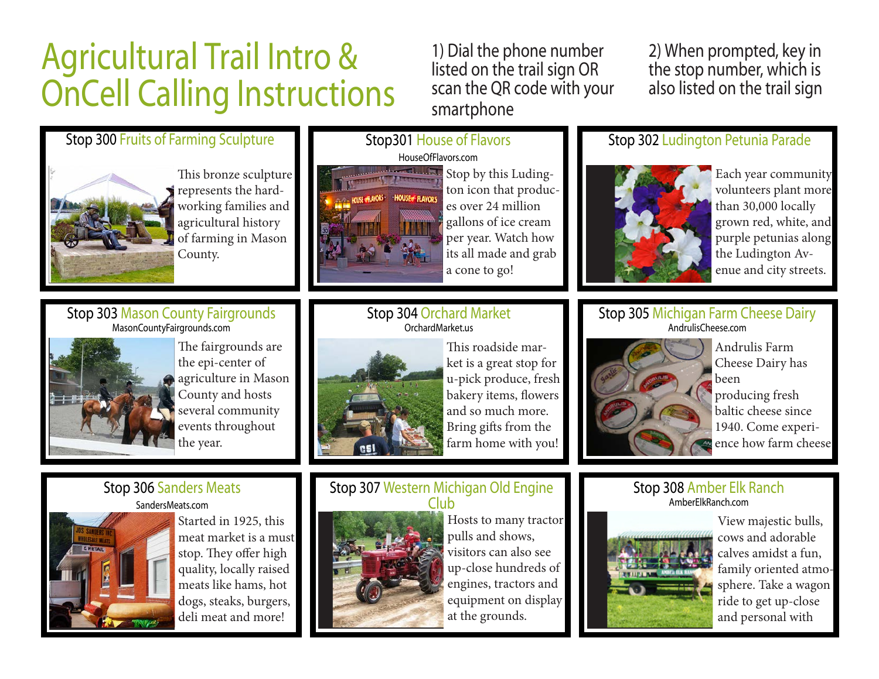# Agricultural Trail Intro & OnCell Calling Instructions

1) Dial the phone number listed on the trail sign OR scan the QR code with your smartphone

2) When prompted, key in the stop number, which is also listed on the trail sign

#### Stop 300 Fruits of Farming Sculpture



This bronze sculpture represents the hardworking families and agricultural history of farming in Mason County.

# Stop301 House of Flavors



Stop by this Ludington icon that produces over 24 million gallons of ice cream per year. Watch how its all made and grab a cone to go!



Each year community volunteers plant more than 30,000 locally grown red, white, and purple petunias along the Ludington Avenue and city streets.

#### Stop 303 Mason County Fairgrounds MasonCountyFairgrounds.com



The fairgrounds are the epi-center of agriculture in Mason County and hosts several community events throughout the year.

#### Stop 304 Orchard Market OrchardMarket.us



This roadside market is a great stop for u-pick produce, fresh bakery items, flowers and so much more. Bring gifts from the farm home with you!

# Stop 306 Sanders Meats



Started in 1925, this meat market is a must stop. They offer high quality, locally raised meats like hams, hot dogs, steaks, burgers, deli meat and more!

#### Stop 307 Western Michigan Old Engine Club



Hosts to many tractor pulls and shows, visitors can also see up-close hundreds of engines, tractors and equipment on display at the grounds.



View majestic bulls, cows and adorable calves amidst a fun, family oriented atmosphere. Take a wagon ride to get up-close and personal with

#### Stop 305 Michigan Farm Cheese Dairy AndrulisCheese.com

Stop 302 Ludington Petunia Parade



Andrulis Farm Cheese Dairy has been producing fresh baltic cheese since 1940. Come experience how farm cheese

# Stop 308 Amber Elk Ranch

### AmberElkRanch.com